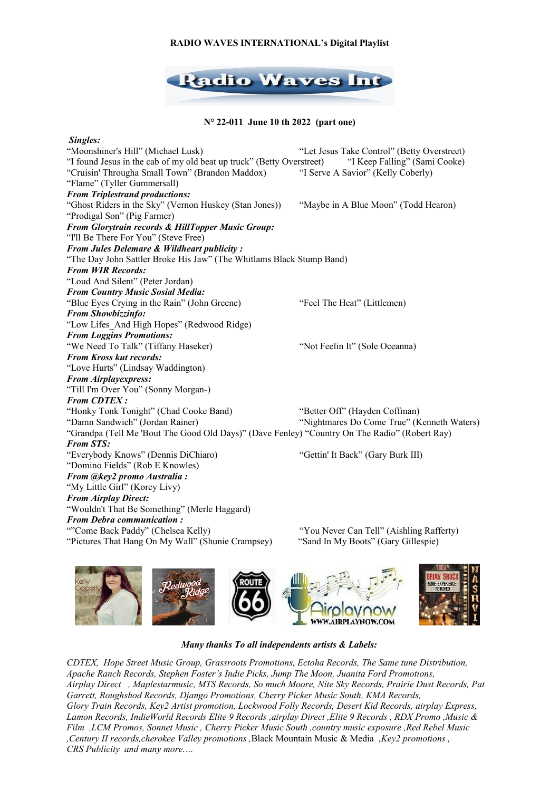# **RADIO WAVES INTERNATIONAL's Digital Playlist**



**N° 22-011 June 10 th 2022 (part one)**

 *Singles:* "Moonshiner's Hill" (Michael Lusk) "Let Jesus Take Control" (Betty Overstreet) "I found Jesus in the cab of my old beat up truck" (Betty Overstreet) "I Keep Falling" (Sami Cooke) "Cruisin' Througha Small Town" (Brandon Maddox) "I Serve A Savior" (Kelly Coberly) "Flame" (Tyller Gummersall) *From Triplestrand productions:* "Ghost Riders in the Sky" (Vernon Huskey (Stan Jones)) "Maybe in A Blue Moon" (Todd Hearon) "Prodigal Son" (Pig Farmer) *From Glorytrain records & HillTopper Music Group:* "I'll Be There For You" (Steve Free) *From Jules Delemare & Wildheart publicity :* "The Day John Sattler Broke His Jaw" (The Whitlams Black Stump Band) *From WIR Records:* "Loud And Silent" (Peter Jordan) *From Country Music Sosial Media:* "Blue Eyes Crying in the Rain" (John Greene) "Feel The Heat" (Littlemen) *From Showbizzinfo:* "Low Lifes\_And High Hopes" (Redwood Ridge) *From Loggins Promotions:* "We Need To Talk" (Tiffany Haseker) "Not Feelin It" (Sole Oceanna) *From Kross kut records:* "Love Hurts" (Lindsay Waddington) *From Airplayexpress:* "Till I'm Over You" (Sonny Morgan-) *From CDTEX :* "Honky Tonk Tonight" (Chad Cooke Band) "Better Off" (Hayden Coffman) "Damn Sandwich" (Jordan Rainer) "Nightmares Do Come True" (Kenneth Waters) "Grandpa (Tell Me 'Bout The Good Old Days)" (Dave Fenley) "Country On The Radio" (Robert Ray) *From STS:* "Everybody Knows" (Dennis DiChiaro) "Gettin' It Back" (Gary Burk III) "Domino Fields" (Rob E Knowles) *From @key2 promo Australia :* "My Little Girl" (Korey Livy) *From Airplay Direct:* "Wouldn't That Be Something" (Merle Haggard) *From Debra communication :* ""Come Back Paddy" (Chelsea Kelly) "You Never Can Tell" (Aishling Rafferty) "Pictures That Hang On My Wall" (Shunie Crampsey) "Sand In My Boots" (Gary Gillespie)



## *Many thanks To all independents artists & Labels:*

*CDTEX, Hope Street Music Group, Grassroots Promotions, Ectoha Records, The Same tune Distribution, Apache Ranch Records, Stephen Foster's Indie Picks, Jump The Moon, Juanita Ford Promotions, Airplay Direct , Maplestarmusic, MTS Records, So much Moore, Nite Sky Records, Prairie Dust Records, Pat Garrett, Roughshod Records, Django Promotions, Cherry Picker Music South, KMA Records, Glory Train Records, Key2 Artist promotion, Lockwood Folly Records, Desert Kid Records, airplay Express, Lamon Records, IndieWorld Records Elite 9 Records ,airplay Direct ,Elite 9 Records , RDX Promo ,Music & Film ,LCM Promos, Sonnet Music , Cherry Picker Music South ,country music exposure ,Red Rebel Music ,Century II records,cherokee Valley promotions ,*Black Mountain Music & Media ,*Key2 promotions , CRS Publicity and many more.…*